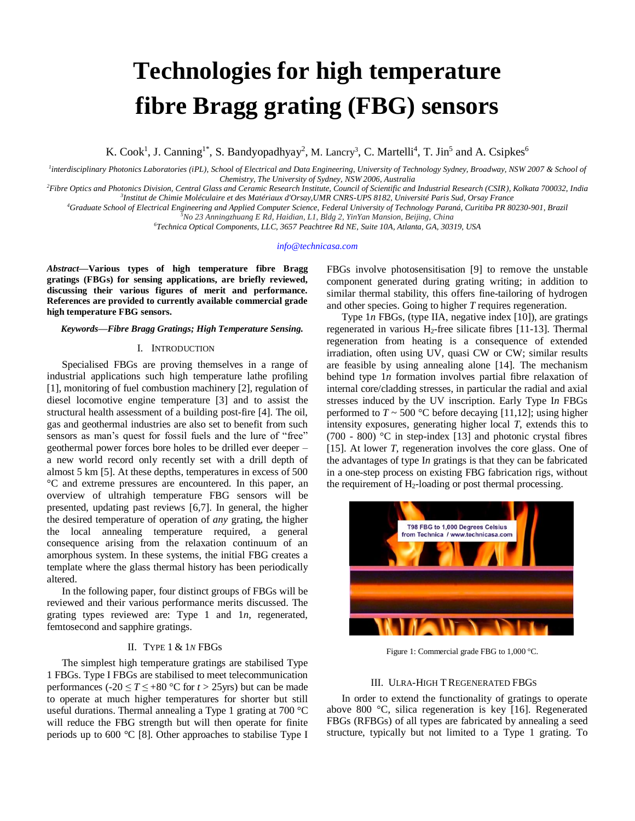# **Technologies for high temperature fibre Bragg grating (FBG) sensors**

K. Cook<sup>1</sup>, J. Canning<sup>1\*</sup>, S. Bandyopadhyay<sup>2</sup>, M. Lancry<sup>3</sup>, C. Martelli<sup>4</sup>, T. Jin<sup>5</sup> and A. Csipkes<sup>6</sup>

<sup>1</sup>interdisciplinary Photonics Laboratories (iPL), School of Electrical and Data Engineering, University of Technology Sydney, Broadway, NSW 2007 & School of *Chemistry, The University of Sydney, NSW 2006, Australia*

*<sup>2</sup>Fibre Optics and Photonics Division, Central Glass and Ceramic Research Institute, Council of Scientific and Industrial Research (CSIR), Kolkata 700032, India 3 Institut de Chimie Moléculaire et des Matériaux d'Orsay,UMR CNRS-UPS 8182, Université Paris Sud, Orsay France*

*<sup>4</sup>Graduate School of Electrical Engineering and Applied Computer Science, Federal University of Technology Paraná, Curitiba PR 80230-901, Brazil*

*<sup>5</sup>No 23 Anningzhuang E Rd, Haidian, L1, Bldg 2, YinYan Mansion, Beijing, China*

*<sup>6</sup>Technica Optical Components, LLC, 3657 Peachtree Rd NE, Suite 10A, Atlanta, GA, 30319, USA*

#### *info@technicasa.com*

*Abstract***—Various types of high temperature fibre Bragg gratings (FBGs) for sensing applications, are briefly reviewed, discussing their various figures of merit and performance. References are provided to currently available commercial grade high temperature FBG sensors.**

#### *Keywords—Fibre Bragg Gratings; High Temperature Sensing.*

## I. INTRODUCTION

Specialised FBGs are proving themselves in a range of industrial applications such high temperature lathe profiling [1], monitoring of fuel combustion machinery [2], regulation of diesel locomotive engine temperature [3] and to assist the structural health assessment of a building post-fire [4]. The oil, gas and geothermal industries are also set to benefit from such sensors as man's quest for fossil fuels and the lure of "free" geothermal power forces bore holes to be drilled ever deeper – a new world record only recently set with a drill depth of almost 5 km [5]. At these depths, temperatures in excess of 500 °C and extreme pressures are encountered. In this paper, an overview of ultrahigh temperature FBG sensors will be presented, updating past reviews [6,7]. In general, the higher the desired temperature of operation of *any* grating, the higher the local annealing temperature required, a general consequence arising from the relaxation continuum of an amorphous system. In these systems, the initial FBG creates a template where the glass thermal history has been periodically altered.

In the following paper, four distinct groups of FBGs will be reviewed and their various performance merits discussed. The grating types reviewed are: Type 1 and 1*n*, regenerated, femtosecond and sapphire gratings.

# II. TYPE 1 & 1*N* FBGs

The simplest high temperature gratings are stabilised Type 1 FBGs. Type I FBGs are stabilised to meet telecommunication performances (-20  $\leq T \leq +80$  °C for  $t > 25$ yrs) but can be made to operate at much higher temperatures for shorter but still useful durations. Thermal annealing a Type 1 grating at 700 °C will reduce the FBG strength but will then operate for finite periods up to 600 °C [8]. Other approaches to stabilise Type I

FBGs involve photosensitisation [9] to remove the unstable component generated during grating writing; in addition to similar thermal stability, this offers fine-tailoring of hydrogen and other species. Going to higher *T* requires regeneration.

Type 1*n* FBGs, (type IIA, negative index [10]), are gratings regenerated in various H2-free silicate fibres [11-13]. Thermal regeneration from heating is a consequence of extended irradiation, often using UV, quasi CW or CW; similar results are feasible by using annealing alone [14]. The mechanism behind type 1*n* formation involves partial fibre relaxation of internal core/cladding stresses, in particular the radial and axial stresses induced by the UV inscription. Early Type I*n* FBGs performed to  $T \sim 500$  °C before decaying [11,12]; using higher intensity exposures, generating higher local *T*, extends this to (700 - 800)  $\degree$ C in step-index [13] and photonic crystal fibres [15]. At lower *T*, regeneration involves the core glass. One of the advantages of type I*n* gratings is that they can be fabricated in a one-step process on existing FBG fabrication rigs, without the requirement of  $H_2$ -loading or post thermal processing.



Figure 1: Commercial grade FBG to 1,000 °C.

#### III. ULRA-HIGH TREGENERATED FBGS

In order to extend the functionality of gratings to operate above 800 °C, silica regeneration is key [16]. Regenerated FBGs (RFBGs) of all types are fabricated by annealing a seed structure, typically but not limited to a Type 1 grating. To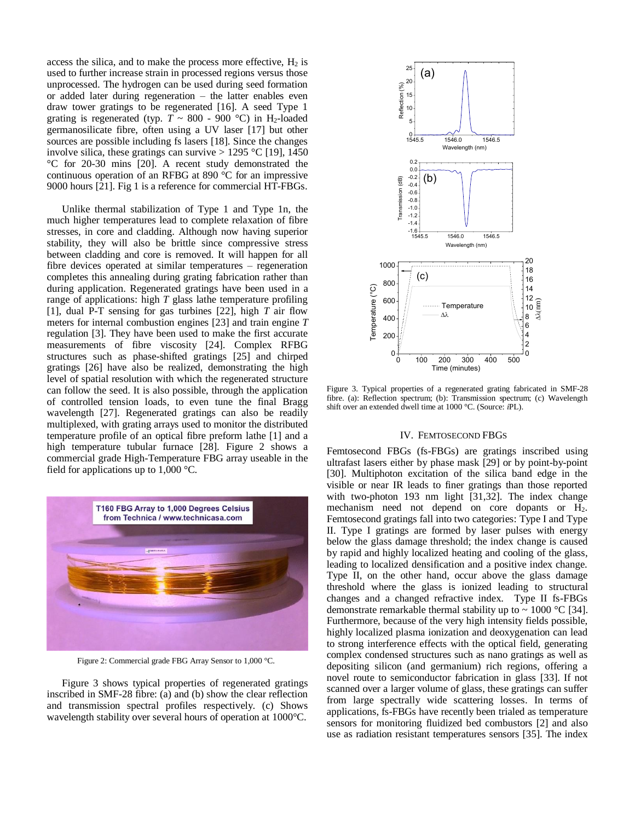access the silica, and to make the process more effective,  $H_2$  is used to further increase strain in processed regions versus those unprocessed. The hydrogen can be used during seed formation or added later during regeneration – the latter enables even draw tower gratings to be regenerated [16]. A seed Type 1 grating is regenerated (typ.  $T \sim 800$  - 900 °C) in H<sub>2</sub>-loaded germanosilicate fibre, often using a UV laser [17] but other sources are possible including fs lasers [18]. Since the changes involve silica, these gratings can survive  $> 1295$  °C [19], 1450 °C for 20-30 mins [20]. A recent study demonstrated the continuous operation of an RFBG at 890 °C for an impressive 9000 hours [21]. Fig 1 is a reference for commercial HT-FBGs.

Unlike thermal stabilization of Type 1 and Type 1n, the much higher temperatures lead to complete relaxation of fibre stresses, in core and cladding. Although now having superior stability, they will also be brittle since compressive stress between cladding and core is removed. It will happen for all fibre devices operated at similar temperatures – regeneration completes this annealing during grating fabrication rather than during application. Regenerated gratings have been used in a range of applications: high *T* glass lathe temperature profiling [1], dual P-T sensing for gas turbines [22], high *T* air flow meters for internal combustion engines [23] and train engine *T* regulation [3]. They have been used to make the first accurate measurements of fibre viscosity [24]. Complex RFBG structures such as phase-shifted gratings [25] and chirped gratings [26] have also be realized, demonstrating the high level of spatial resolution with which the regenerated structure can follow the seed. It is also possible, through the application of controlled tension loads, to even tune the final Bragg wavelength [27]. Regenerated gratings can also be readily multiplexed, with grating arrays used to monitor the distributed temperature profile of an optical fibre preform lathe [1] and a high temperature tubular furnace [28]. Figure 2 shows a commercial grade High-Temperature FBG array useable in the field for applications up to  $1,000$  °C.



Figure 2: Commercial grade FBG Array Sensor to 1,000 °C.

Figure 3 shows typical properties of regenerated gratings inscribed in SMF-28 fibre: (a) and (b) show the clear reflection and transmission spectral profiles respectively. (c) Shows wavelength stability over several hours of operation at 1000°C.



Figure 3. Typical properties of a regenerated grating fabricated in SMF-28 fibre. (a): Reflection spectrum; (b): Transmission spectrum; (c) Wavelength shift over an extended dwell time at 1000 °C. (Source: *i*PL).

### IV. FEMTOSECOND FBGS

Femtosecond FBGs (fs-FBGs) are gratings inscribed using ultrafast lasers either by phase mask [29] or by point-by-point [30]. Multiphoton excitation of the silica band edge in the visible or near IR leads to finer gratings than those reported with two-photon 193 nm light [31,32]. The index change mechanism need not depend on core dopants or H<sub>2</sub>. Femtosecond gratings fall into two categories: Type I and Type II. Type I gratings are formed by laser pulses with energy below the glass damage threshold; the index change is caused by rapid and highly localized heating and cooling of the glass, leading to localized densification and a positive index change. Type II, on the other hand, occur above the glass damage threshold where the glass is ionized leading to structural changes and a changed refractive index. Type II fs-FBGs demonstrate remarkable thermal stability up to  $\sim 1000 \degree C$  [34]. Furthermore, because of the very high intensity fields possible, highly localized plasma ionization and deoxygenation can lead to strong interference effects with the optical field, generating complex condensed structures such as nano gratings as well as depositing silicon (and germanium) rich regions, offering a novel route to semiconductor fabrication in glass [33]. If not scanned over a larger volume of glass, these gratings can suffer from large spectrally wide scattering losses. In terms of applications, fs-FBGs have recently been trialed as temperature sensors for monitoring fluidized bed combustors [2] and also use as radiation resistant temperatures sensors [35]. The index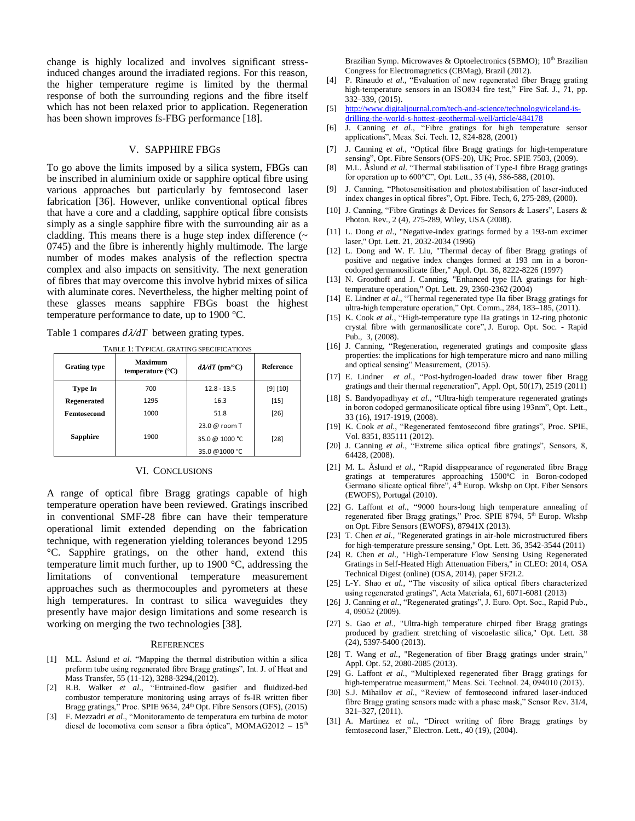change is highly localized and involves significant stressinduced changes around the irradiated regions. For this reason, the higher temperature regime is limited by the thermal response of both the surrounding regions and the fibre itself which has not been relaxed prior to application. Regeneration has been shown improves fs-FBG performance [18].

# V. SAPPHIRE FBGS

To go above the limits imposed by a silica system, FBGs can be inscribed in aluminium oxide or sapphire optical fibre using various approaches but particularly by femtosecond laser fabrication [36]. However, unlike conventional optical fibres that have a core and a cladding, sapphire optical fibre consists simply as a single sapphire fibre with the surrounding air as a cladding. This means there is a huge step index difference  $(\sim$ 0745) and the fibre is inherently highly multimode. The large number of modes makes analysis of the reflection spectra complex and also impacts on sensitivity. The next generation of fibres that may overcome this involve hybrid mixes of silica with aluminate cores. Nevertheless, the higher melting point of these glasses means sapphire FBGs boast the highest temperature performance to date, up to 1900 °C.

Table 1 compares  $d\lambda/dT$  between grating types.

| <b>Grating type</b> | <b>Maximum</b><br>temperature $(^{\circ}C)$ | $d\lambda/dT$ (pm/°C) | <b>Reference</b> |
|---------------------|---------------------------------------------|-----------------------|------------------|
| Type In             | 700                                         | $12.8 - 13.5$         | [9] [10]         |
| <b>Regenerated</b>  | 1295                                        | 16.3                  | $[15]$           |
| Femtosecond         | 1000                                        | 51.8                  | $[26]$           |
|                     |                                             | 23.0 @ room T         |                  |
| <b>Sapphire</b>     | 1900                                        | 35.0 @ 1000 °C        | $[28]$           |
|                     |                                             | 35.0 @1000 °C         |                  |

TABLE 1: TYPICAL GRATING SPECIFICATIONS

#### VI. CONCLUSIONS

A range of optical fibre Bragg gratings capable of high temperature operation have been reviewed. Gratings inscribed in conventional SMF-28 fibre can have their temperature operational limit extended depending on the fabrication technique, with regeneration yielding tolerances beyond 1295 °C. Sapphire gratings, on the other hand, extend this temperature limit much further, up to 1900 °C, addressing the limitations of conventional temperature measurement approaches such as thermocouples and pyrometers at these high temperatures. In contrast to silica waveguides they presently have major design limitations and some research is working on merging the two technologies [38].

## **REFERENCES**

- [1] M.L. Åslund *et al*. "Mapping the thermal distribution within a silica preform tube using regenerated fibre Bragg gratings", Int. J. of Heat and Mass Transfer, 55 (11-12), 3288-3294,(2012).
- [2] R.B. Walker *et al*., "Entrained-flow gasifier and fluidized-bed combustor temperature monitoring using arrays of fs-IR written fiber Bragg gratings," Proc. SPIE 9634, 24<sup>th</sup> Opt. Fibre Sensors (OFS), (2015)
- [3] F. Mezzadri *et al*., "Monitoramento de temperatura em turbina de motor diesel de locomotiva com sensor a fibra óptica", MOMAG2012 – 15<sup>th</sup>

Brazilian Symp. Microwaves & Optoelectronics (SBMO); 10<sup>th</sup> Brazilian Congress for Electromagnetics (CBMag), Brazil (2012).

- [4] P. Rinaudo *et al*., "Evaluation of new regenerated fiber Bragg grating high-temperature sensors in an ISO834 fire test," Fire Saf. J., 71, pp. 332–339, (2015).
- [5] [http://www.digitaljournal.com/tech-and-science/technology/iceland-is](http://www.digitaljournal.com/tech-and-science/technology/iceland-is-drilling-the-world-s-hottest-geothermal-well/article/484178)[drilling-the-world-s-hottest-geothermal-well/article/484178](http://www.digitaljournal.com/tech-and-science/technology/iceland-is-drilling-the-world-s-hottest-geothermal-well/article/484178)
- [6] J. Canning *et al*., "Fibre gratings for high temperature sensor applications", Meas. Sci. Tech. 12, 824-828, (2001)
- [7] J. Canning *et al.*, "Optical fibre Bragg gratings for high-temperature sensing", Opt. Fibre Sensors (OFS-20), UK; Proc. SPIE 7503, (2009).
- [8] M.L. Åslund *et al*. "Thermal stabilisation of Type-I fibre Bragg gratings for operation up to 600°C", Opt. Lett., 35 (4), 586-588, (2010).
- [9] J. Canning, "Photosensitisation and photostabilisation of laser-induced index changes in optical fibres", Opt. Fibre. Tech, 6, 275-289, (2000).
- [10] J. Canning, "Fibre Gratings & Devices for Sensors & Lasers", Lasers & Photon. Rev., 2 (4), 275-289, Wiley, USA (2008).
- [11] L. Dong *et al*., "Negative-index gratings formed by a 193-nm excimer laser," Opt. Lett. 21, 2032-2034 (1996)
- [12] L. Dong and W. F. Liu, "Thermal decay of fiber Bragg gratings of positive and negative index changes formed at 193 nm in a boroncodoped germanosilicate fiber," Appl. Opt. 36, 8222-8226 (1997)
- [13] N. Groothoff and J. Canning, "Enhanced type IIA gratings for hightemperature operation," Opt. Lett. 29, 2360-2362 (2004)
- [14] E. Lindner *et al*., "Thermal regenerated type IIa fiber Bragg gratings for ultra-high temperature operation," Opt. Comm., 284, 183–185, (2011).
- [15] K. Cook *et al*., "High-temperature type IIa gratings in 12-ring photonic crystal fibre with germanosilicate core", J. Europ. Opt. Soc. - Rapid Pub., 3, (2008).
- [16] J. Canning, "Regeneration, regenerated gratings and composite glass properties: the implications for high temperature micro and nano milling and optical sensing" Measurement, (2015).
- [17] E. Lindner *et al*., "Post-hydrogen-loaded draw tower fiber Bragg gratings and their thermal regeneration", Appl. Opt, 50(17), 2519 (2011)
- [18] S. Bandyopadhyay *et al*., "Ultra-high temperature regenerated gratings in boron codoped germanosilicate optical fibre using 193nm", Opt. Lett., 33 (16), 1917-1919, (2008).
- [19] K. Cook *et al.*, "Regenerated femtosecond fibre gratings", Proc. SPIE, Vol. 8351, 835111 (2012).
- [20] J. Canning *et al*., "Extreme silica optical fibre gratings", Sensors, 8, 64428, (2008).
- [21] M. L. Åslund *et al*., "Rapid disappearance of regenerated fibre Bragg gratings at temperatures approaching 1500ºC in Boron-codoped Germano silicate optical fibre", 4<sup>th</sup> Europ. Wkshp on Opt. Fiber Sensors (EWOFS), Portugal (2010).
- [22] G. Laffont *et al.*, "9000 hours-long high temperature annealing of regenerated fiber Bragg gratings," Proc. SPIE 8794, 5<sup>th</sup> Europ. Wkshp on Opt. Fibre Sensors (EWOFS), 87941X (2013).
- [23] T. Chen *et al.*, "Regenerated gratings in air-hole microstructured fibers for high-temperature pressure sensing," Opt. Lett. 36, 3542-3544 (2011)
- [24] R. Chen *et al*., "High-Temperature Flow Sensing Using Regenerated Gratings in Self-Heated High Attenuation Fibers," in CLEO: 2014, OSA Technical Digest (online) (OSA, 2014), paper SF2I.2.
- [25] L-Y. Shao *et al.*, "The viscosity of silica optical fibers characterized using regenerated gratings", Acta Materiala, 61, 6071-6081 (2013)
- [26] J. Canning *et al*., "Regenerated gratings", J. Euro. Opt. Soc., Rapid Pub., 4, 09052 (2009).
- [27] S. Gao *et al.*, "Ultra-high temperature chirped fiber Bragg gratings produced by gradient stretching of viscoelastic silica," Opt. Lett. 38 (24), 5397-5400 (2013).
- [28] T. Wang *et al.*, "Regeneration of fiber Bragg gratings under strain," Appl. Opt. 52, 2080-2085 (2013).
- [29] G. Laffont *et al.*, "Multiplexed regenerated fiber Bragg gratings for high-temperatrue measurment," Meas. Sci. Technol. 24, 094010 (2013).
- [30] S.J. Mihailov *et al.*, "Review of femtosecond infrared laser-induced fibre Bragg grating sensors made with a phase mask," Sensor Rev. 31/4, 321–327, (2011).
- [31] A. Martinez *et al.*, "Direct writing of fibre Bragg gratings by femtosecond laser," Electron. Lett., 40 (19), (2004).